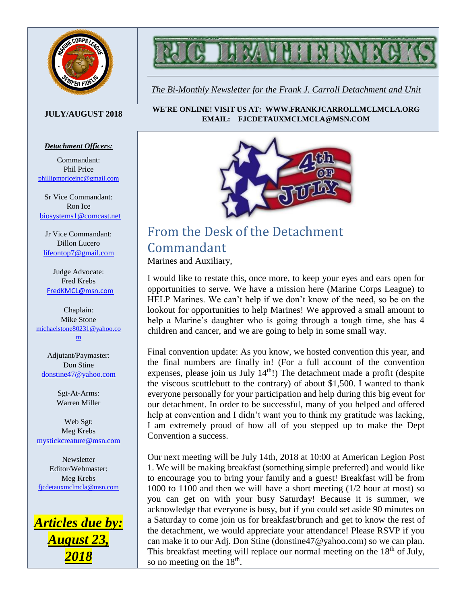



*The Bi-Monthly Newsletter for the Frank J. Carroll Detachment and Unit*

#### **JULY/AUGUST 2018**

#### *Detachment Officers:*

Commandant: Phil Price [phillipmpriceinc@gmail.com](mailto:phillipmpriceinc@gmail.com)

Sr Vice Commandant: Ron Ice [biosystems1@comcast.net](mailto:biosystems1@comcast.net)

Jr Vice Commandant: Dillon Lucero [lifeontop7@gmail.com](mailto:lifeontop7@gmail.com)

Judge Advocate: Fred Krebs [FredKMCL@msn.com](mailto:FredKMCL@msn.com)

Chaplain: Mike Stone [michaelstone80231@yahoo.co](mailto:michaelstone80231@yahoo.com) [m](mailto:michaelstone80231@yahoo.com)

Adjutant/Paymaster: Don Stine [donstine47@yahoo.com](mailto:donstine47@yahoo.com)

> Sgt-At-Arms: Warren Miller

Web Sgt: Meg Krebs [mystickcreature@msn.com](mailto:mystickcreature@msn.com)

Newsletter Editor/Webmaster: Meg Krebs [fjcdetauxmclmcla@msn.com](mailto:fjcdetauxmclmcla@msn.com)



**WE'RE ONLINE! VISIT US AT: WWW.FRANKJCARROLLMCLMCLA.ORG EMAIL: FJCDETAUXMCLMCLA@MSN.COM**



## From the Desk of the Detachment Commandant Marines and Auxiliary,

I would like to restate this, once more, to keep your eyes and ears open for opportunities to serve. We have a mission here (Marine Corps League) to HELP Marines. We can't help if we don't know of the need, so be on the lookout for opportunities to help Marines! We approved a small amount to help a Marine's daughter who is going through a tough time, she has 4 children and cancer, and we are going to help in some small way.

Final convention update: As you know, we hosted convention this year, and the final numbers are finally in! (For a full account of the convention expenses, please join us July  $14<sup>th</sup>$ !) The detachment made a profit (despite the viscous scuttlebutt to the contrary) of about \$1,500. I wanted to thank everyone personally for your participation and help during this big event for our detachment. In order to be successful, many of you helped and offered help at convention and I didn't want you to think my gratitude was lacking, I am extremely proud of how all of you stepped up to make the Dept Convention a success.

Our next meeting will be July 14th, 2018 at 10:00 at American Legion Post 1. We will be making breakfast (something simple preferred) and would like to encourage you to bring your family and a guest! Breakfast will be from 1000 to 1100 and then we will have a short meeting (1/2 hour at most) so you can get on with your busy Saturday! Because it is summer, we acknowledge that everyone is busy, but if you could set aside 90 minutes on a Saturday to come join us for breakfast/brunch and get to know the rest of the detachment, we would appreciate your attendance! Please RSVP if you can make it to our Adj. Don Stine (donstine47@yahoo.com) so we can plan. This breakfast meeting will replace our normal meeting on the  $18<sup>th</sup>$  of July, so no meeting on the  $18<sup>th</sup>$ .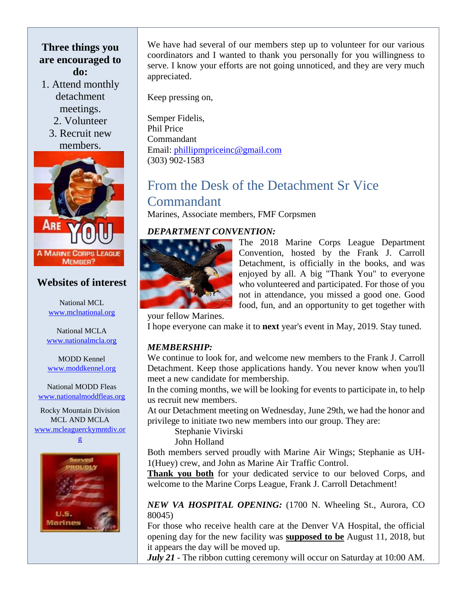#### **Three things you are encouraged to do:**

- 1. Attend monthly detachment meetings.
	- 2. Volunteer
	- 3. Recruit new members.



## **Websites of interest**

National MCL [www.mclnational.org](http://www.mclnational.org/)

National MCLA [www.nationalmcla.org](http://www.nationalmcla.org/)

MODD Kennel [www.moddkennel.org](http://www.moddkennel.org/)

National MODD Fleas [www.nationalmoddfleas.org](http://www.nationalmoddfleas.org/)

Rocky Mountain Division MCL AND MCLA [www.mcleaguerckymntdiv.or](http://www.mcleaguerckymntdiv.org/)





We have had several of our members step up to volunteer for our various coordinators and I wanted to thank you personally for you willingness to serve. I know your efforts are not going unnoticed, and they are very much appreciated.

Keep pressing on,

Semper Fidelis, Phil Price Commandant Email: [phillipmpriceinc@gmail.com](mailto:phillipmpriceinc@gmail.com) (303) 902-1583

## From the Desk of the Detachment Sr Vice Commandant Marines, Associate members, FMF Corpsmen

## *DEPARTMENT CONVENTION:*



The 2018 Marine Corps League Department Convention, hosted by the Frank J. Carroll Detachment, is officially in the books, and was enjoyed by all. A big "Thank You" to everyone who volunteered and participated. For those of you not in attendance, you missed a good one. Good food, fun, and an opportunity to get together with

your fellow Marines.

I hope everyone can make it to **next** year's event in May, 2019. Stay tuned.

## *MEMBERSHIP:*

We continue to look for, and welcome new members to the Frank J. Carroll Detachment. Keep those applications handy. You never know when you'll meet a new candidate for membership.

In the coming months, we will be looking for events to participate in, to help us recruit new members.

At our Detachment meeting on Wednesday, June 29th, we had the honor and privilege to initiate two new members into our group. They are:

Stephanie Vivirski

John Holland

Both members served proudly with Marine Air Wings; Stephanie as UH-1(Huey) crew, and John as Marine Air Traffic Control.

**Thank you both** for your dedicated service to our beloved Corps, and welcome to the Marine Corps League, Frank J. Carroll Detachment!

#### *NEW VA HOSPITAL OPENING:* (1700 N. Wheeling St., Aurora, CO 80045)

For those who receive health care at the Denver VA Hospital, the official opening day for the new facility was **supposed to be** August 11, 2018, but it appears the day will be moved up.

*July 21* - The ribbon cutting ceremony will occur on Saturday at 10:00 AM.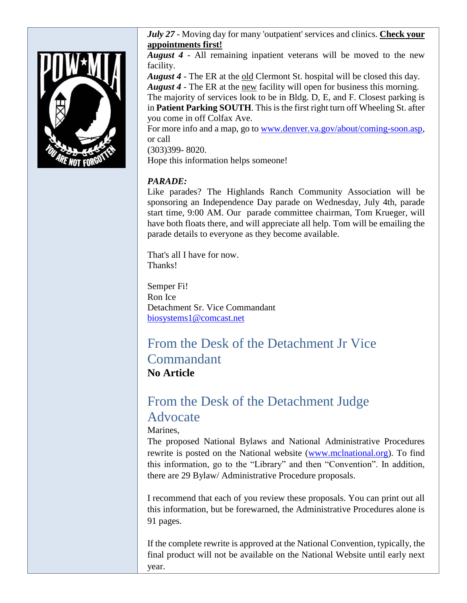

*July 27* - Moving day for many 'outpatient' services and clinics. **Check your appointments first!**

*August 4* - All remaining inpatient veterans will be moved to the new facility.

*August 4* - The ER at the old Clermont St. hospital will be closed this day. *August 4* - The ER at the new facility will open for business this morning.

The majority of services look to be in Bldg. D, E, and F. Closest parking is in **Patient Parking SOUTH**. Thisis the first right turn off Wheeling St. after you come in off Colfax Ave.

For more info and a map, go to [www.denver.va.gov/about/coming-soon.asp,](http://www.denver.va.gov/about/coming-soon.asp) or call

(303)399- 8020.

Hope this information helps someone!

#### *PARADE:*

Like parades? The Highlands Ranch Community Association will be sponsoring an Independence Day parade on Wednesday, July 4th, parade start time, 9:00 AM. Our parade committee chairman, Tom Krueger, will have both floats there, and will appreciate all help. Tom will be emailing the parade details to everyone as they become available.

That's all I have for now. Thanks!

Semper Fi! Ron Ice Detachment Sr. Vice Commandant [biosystems1@comcast.net](mailto:biosystems1@comcast.net)

# From the Desk of the Detachment Jr Vice Commandant **No Article**

# From the Desk of the Detachment Judge Advocate

Marines,

The proposed National Bylaws and National Administrative Procedures rewrite is posted on the National website [\(www.mclnational.org\)](http://www.mclnational.org/). To find this information, go to the "Library" and then "Convention". In addition, there are 29 Bylaw/ Administrative Procedure proposals.

I recommend that each of you review these proposals. You can print out all this information, but be forewarned, the Administrative Procedures alone is 91 pages.

If the complete rewrite is approved at the National Convention, typically, the final product will not be available on the National Website until early next year.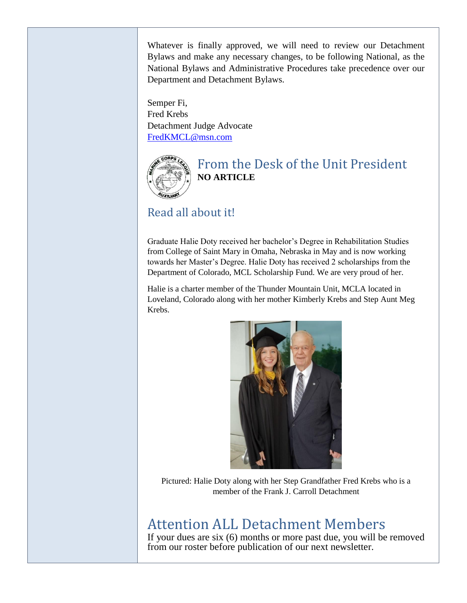Whatever is finally approved, we will need to review our Detachment Bylaws and make any necessary changes, to be following National, as the National Bylaws and Administrative Procedures take precedence over our Department and Detachment Bylaws.

Semper Fi, Fred Krebs Detachment Judge Advocate [FredKMCL@msn.com](mailto:FredKMCL@msn.com)



## From the Desk of the Unit President **NO ARTICLE**

# Read all about it!

Graduate Halie Doty received her bachelor's Degree in Rehabilitation Studies from College of Saint Mary in Omaha, Nebraska in May and is now working towards her Master's Degree. Halie Doty has received 2 scholarships from the Department of Colorado, MCL Scholarship Fund. We are very proud of her.

Halie is a charter member of the Thunder Mountain Unit, MCLA located in Loveland, Colorado along with her mother Kimberly Krebs and Step Aunt Meg Krebs.



Pictured: Halie Doty along with her Step Grandfather Fred Krebs who is a member of the Frank J. Carroll Detachment

# Attention ALL Detachment Members

If your dues are six (6) months or more past due, you will be removed from our roster before publication of our next newsletter.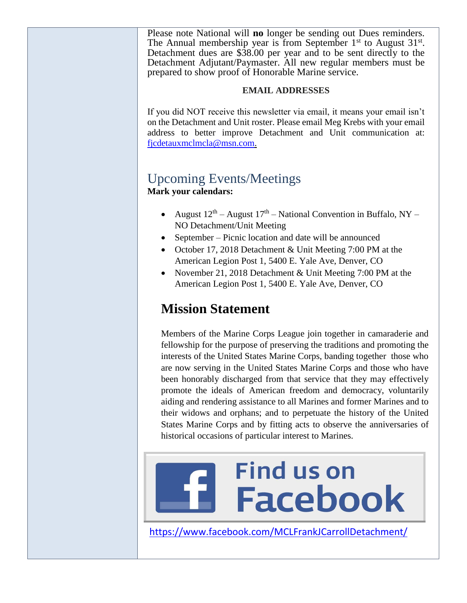Please note National will **no** longer be sending out Dues reminders. The Annual membership year is from September  $1<sup>st</sup>$  to August  $31<sup>st</sup>$ . Detachment dues are \$38.00 per year and to be sent directly to the Detachment Adjutant/Paymaster. All new regular members must be prepared to show proof of Honorable Marine service.

#### **EMAIL ADDRESSES**

If you did NOT receive this newsletter via email, it means your email isn't on the Detachment and Unit roster. Please email Meg Krebs with your email address to better improve Detachment and Unit communication at: [fjcdetauxmclmcla@msn.com.](mailto:fjcdetauxmclmcla@msn.com)

## Upcoming Events/Meetings **Mark your calendars:**

- August  $12^{th}$  August  $17^{th}$  National Convention in Buffalo, NY NO Detachment/Unit Meeting
- September Picnic location and date will be announced
- October 17, 2018 Detachment & Unit Meeting 7:00 PM at the American Legion Post 1, 5400 E. Yale Ave, Denver, CO
- November 21, 2018 Detachment & Unit Meeting 7:00 PM at the American Legion Post 1, 5400 E. Yale Ave, Denver, CO

# **Mission Statement**

Members of the Marine Corps League join together in camaraderie and fellowship for the purpose of preserving the traditions and promoting the interests of the United States Marine Corps, banding together those who are now serving in the United States Marine Corps and those who have been honorably discharged from that service that they may effectively promote the ideals of American freedom and democracy, voluntarily aiding and rendering assistance to all Marines and former Marines and to their widows and orphans; and to perpetuate the history of the United States Marine Corps and by fitting acts to observe the anniversaries of historical occasions of particular interest to Marines.

# **Find us on Facebook**

<https://www.facebook.com/MCLFrankJCarrollDetachment/>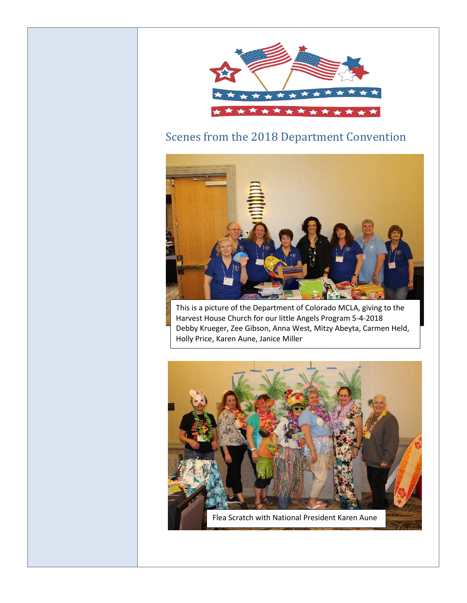

# Scenes from the 2018 Department Convention



This is a picture of the Department of Colorado MCLA, giving to the Harvest House Church for our little Angels Program 5-4-2018 Debby Krueger, Zee Gibson, Anna West, Mitzy Abeyta, Carmen Held, Holly Price, Karen Aune, Janice Miller